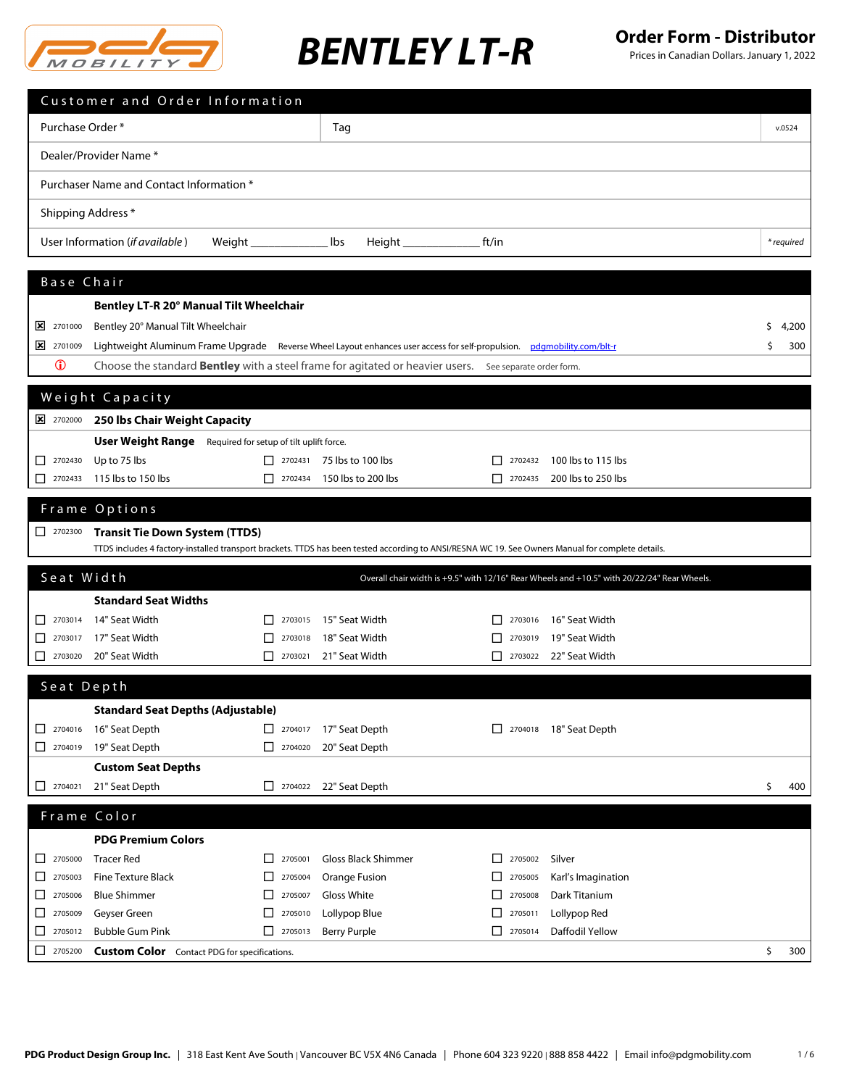

|                                                        | Customer and Order Information                                                                                                                    |                                          |                            |               |                                                                                             |            |
|--------------------------------------------------------|---------------------------------------------------------------------------------------------------------------------------------------------------|------------------------------------------|----------------------------|---------------|---------------------------------------------------------------------------------------------|------------|
| Purchase Order *                                       |                                                                                                                                                   |                                          | Tag                        |               |                                                                                             | v.0524     |
|                                                        | Dealer/Provider Name *                                                                                                                            |                                          |                            |               |                                                                                             |            |
|                                                        | Purchaser Name and Contact Information *                                                                                                          |                                          |                            |               |                                                                                             |            |
| Shipping Address*                                      |                                                                                                                                                   |                                          |                            |               |                                                                                             |            |
|                                                        | User Information (if available)                                                                                                                   | Weight lbs                               |                            | ft/in         |                                                                                             | * required |
|                                                        |                                                                                                                                                   |                                          |                            |               |                                                                                             |            |
| Base Chair                                             |                                                                                                                                                   |                                          |                            |               |                                                                                             |            |
|                                                        | Bentley LT-R 20° Manual Tilt Wheelchair                                                                                                           |                                          |                            |               |                                                                                             |            |
| 2701000                                                | Bentley 20° Manual Tilt Wheelchair                                                                                                                |                                          |                            |               |                                                                                             | 4,200<br>S |
| 2701009                                                | Lightweight Aluminum Frame Upgrade Reverse Wheel Layout enhances user access for self-propulsion. pdgmobility.com/blt-r                           |                                          |                            |               |                                                                                             | \$<br>300  |
| $\bf \Phi$                                             | Choose the standard Bentley with a steel frame for agitated or heavier users. See separate order form.                                            |                                          |                            |               |                                                                                             |            |
|                                                        | Weight Capacity                                                                                                                                   |                                          |                            |               |                                                                                             |            |
| $\frac{1}{2}$ 2702000                                  | 250 lbs Chair Weight Capacity                                                                                                                     |                                          |                            |               |                                                                                             |            |
|                                                        | User Weight Range                                                                                                                                 | Required for setup of tilt uplift force. |                            |               |                                                                                             |            |
| $\begin{array}{ c c c }\n\hline\n2702430\n\end{array}$ | Up to 75 lbs                                                                                                                                      | $\boxed{\phantom{0}}$ 2702431            | 75 lbs to 100 lbs          | 2702432       | 100 lbs to 115 lbs                                                                          |            |
| □<br>2702433                                           | 115 lbs to 150 lbs                                                                                                                                | $\boxed{\phantom{000}}$ 2702434          | 150 lbs to 200 lbs         | П<br>2702435  | 200 lbs to 250 lbs                                                                          |            |
|                                                        | Frame Options                                                                                                                                     |                                          |                            |               |                                                                                             |            |
| 12702300                                               | <b>Transit Tie Down System (TTDS)</b>                                                                                                             |                                          |                            |               |                                                                                             |            |
|                                                        | TTDS includes 4 factory-installed transport brackets. TTDS has been tested according to ANSI/RESNA WC 19. See Owners Manual for complete details. |                                          |                            |               |                                                                                             |            |
| Seat Width                                             |                                                                                                                                                   |                                          |                            |               | Overall chair width is +9.5" with 12/16" Rear Wheels and +10.5" with 20/22/24" Rear Wheels. |            |
|                                                        | <b>Standard Seat Widths</b>                                                                                                                       |                                          |                            |               |                                                                                             |            |
| $\Box$ 2703014                                         | 14" Seat Width                                                                                                                                    | 2703015                                  | 15" Seat Width             | 2703016       | 16" Seat Width                                                                              |            |
| 2703017                                                | 17" Seat Width                                                                                                                                    | 2703018                                  | 18" Seat Width             | 2703019       | 19" Seat Width                                                                              |            |
| $\Box$<br>2703020                                      | 20" Seat Width                                                                                                                                    | $\perp$<br>2703021                       | 21" Seat Width             | П<br>2703022  | 22" Seat Width                                                                              |            |
| Seat Depth                                             |                                                                                                                                                   |                                          |                            |               |                                                                                             |            |
|                                                        | <b>Standard Seat Depths (Adjustable)</b>                                                                                                          |                                          |                            |               |                                                                                             |            |
| $2704016$                                              | 16" Seat Depth                                                                                                                                    | $\boxed{\phantom{0}}$ 2704017            | 17" Seat Depth             | 12704018      | 18" Seat Depth                                                                              |            |
| $\Box$ 2704019                                         | 19" Seat Depth                                                                                                                                    | $\Box$ 2704020                           | 20" Seat Depth             |               |                                                                                             |            |
|                                                        | <b>Custom Seat Depths</b>                                                                                                                         |                                          |                            |               |                                                                                             |            |
| 2704021                                                | 21" Seat Depth                                                                                                                                    | $\Box$ 2704022                           | 22" Seat Depth             |               |                                                                                             | \$<br>400  |
|                                                        | Frame Color                                                                                                                                       |                                          |                            |               |                                                                                             |            |
|                                                        | <b>PDG Premium Colors</b>                                                                                                                         |                                          |                            |               |                                                                                             |            |
| $\begin{array}{ c c c }\n\hline\n2705000\n\end{array}$ | <b>Tracer Red</b>                                                                                                                                 | 2705001<br>$\Box$                        | <b>Gloss Black Shimmer</b> | 2705002<br>ΙI | Silver                                                                                      |            |
| 2705003<br>ப                                           | <b>Fine Texture Black</b>                                                                                                                         | 2705004<br>⊔                             | Orange Fusion              | 2705005       | Karl's Imagination                                                                          |            |
| □<br>2705006                                           | <b>Blue Shimmer</b>                                                                                                                               | □<br>2705007                             | Gloss White                | П<br>2705008  | Dark Titanium                                                                               |            |
| 2705009<br>ப                                           | Geyser Green                                                                                                                                      | $\Box$<br>2705010                        | Lollypop Blue              | □<br>2705011  | Lollypop Red                                                                                |            |
| 2705012<br>□                                           | <b>Bubble Gum Pink</b>                                                                                                                            | $\boxed{\phantom{0}}$ 2705013            | Berry Purple               | п<br>2705014  | Daffodil Yellow                                                                             |            |
| $\boxed{\phantom{000}}$ 2705200                        | <b>Custom Color</b> Contact PDG for specifications.                                                                                               |                                          |                            |               |                                                                                             | \$<br>300  |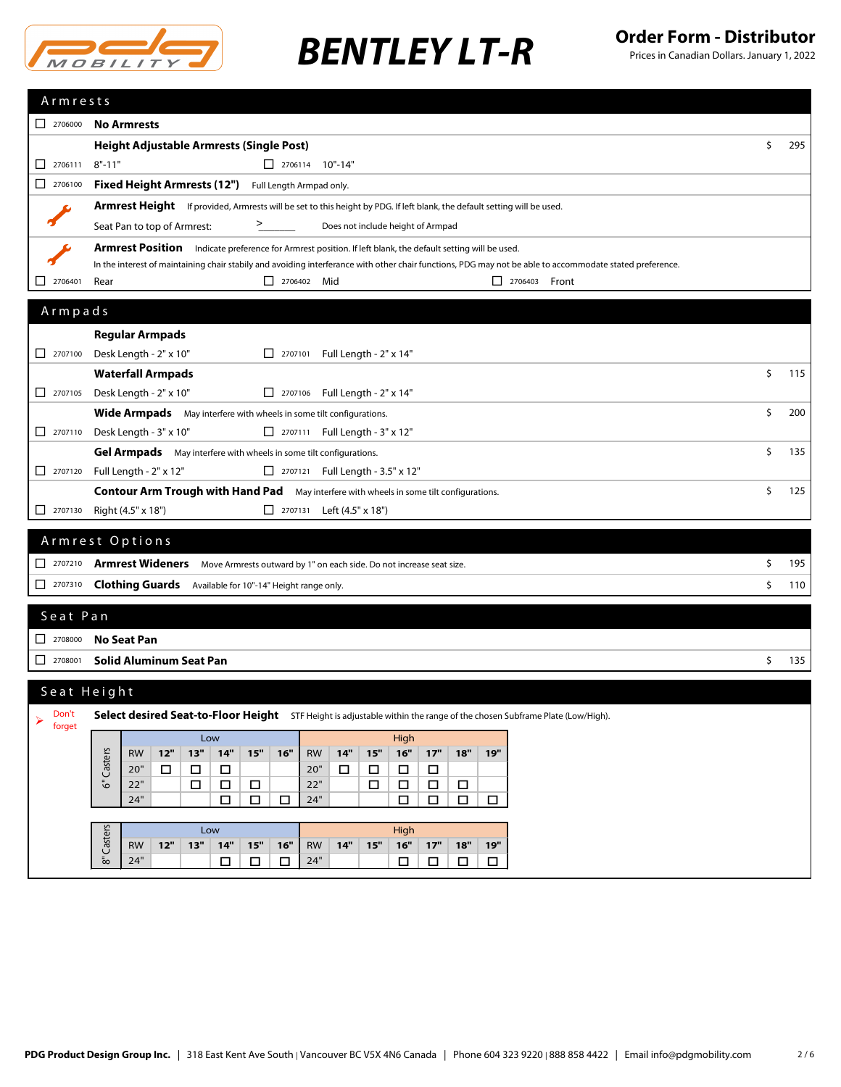

| Armrests                                             |                                                                                                                                                                                                    |           |
|------------------------------------------------------|----------------------------------------------------------------------------------------------------------------------------------------------------------------------------------------------------|-----------|
| $2706000$                                            | <b>No Armrests</b>                                                                                                                                                                                 |           |
|                                                      | <b>Height Adjustable Armrests (Single Post)</b>                                                                                                                                                    | \$<br>295 |
| 2706111<br>□                                         | $8" - 11"$<br>$\Box$ 2706114 10"-14"                                                                                                                                                               |           |
| □<br>2706100                                         | Fixed Height Armrests (12") Full Length Armpad only.                                                                                                                                               |           |
|                                                      | Armrest Height If provided, Armrests will be set to this height by PDG. If left blank, the default setting will be used.                                                                           |           |
|                                                      | ><br>Seat Pan to top of Armrest:<br>Does not include height of Armpad                                                                                                                              |           |
|                                                      | Armrest Position Indicate preference for Armrest position. If left blank, the default setting will be used.                                                                                        |           |
|                                                      | In the interest of maintaining chair stabily and avoiding interferance with other chair functions, PDG may not be able to accommodate stated preference.                                           |           |
| 2706401<br>ΙI                                        | $\Box$ 2706402 Mid<br>$\Box$ 2706403 Front<br>Rear                                                                                                                                                 |           |
| Armpads                                              |                                                                                                                                                                                                    |           |
|                                                      | <b>Regular Armpads</b>                                                                                                                                                                             |           |
| $2707100$                                            | Desk Length - 2" x 10"<br>□ 2707101 Full Length - 2" x 14"                                                                                                                                         |           |
|                                                      | <b>Waterfall Armpads</b>                                                                                                                                                                           | \$<br>115 |
| 2707105                                              | Desk Length - 2" x 10"<br>$\Box$ 2707106 Full Length - 2" x 14"                                                                                                                                    |           |
|                                                      | Wide Armpads May interfere with wheels in some tilt configurations.                                                                                                                                | \$<br>200 |
| $\Box$ 2707110                                       | Desk Length - 3" x 10"<br>□ 2707111 Full Length - 3" x 12"                                                                                                                                         |           |
|                                                      | Gel Armpads May interfere with wheels in some tilt configurations.                                                                                                                                 | \$<br>135 |
| 2707120                                              | Full Length - 2" x 12"<br>2707121 Full Length - 3.5" x 12"                                                                                                                                         |           |
|                                                      | <b>Contour Arm Trough with Hand Pad</b> May interfere with wheels in some tilt configurations.                                                                                                     | \$<br>125 |
| $\Box$ 2707130                                       | Right (4.5" x 18")<br>2707131 Left (4.5" x 18")                                                                                                                                                    |           |
|                                                      | Armrest Options                                                                                                                                                                                    |           |
|                                                      | <b>Armrest Wideners</b><br>Move Armrests outward by 1" on each side. Do not increase seat size.                                                                                                    | \$<br>195 |
| $\Box$ 2707310                                       | <b>Clothing Guards</b> Available for 10"-14" Height range only.                                                                                                                                    | \$<br>110 |
|                                                      |                                                                                                                                                                                                    |           |
| Seat Pan                                             |                                                                                                                                                                                                    |           |
| $\begin{array}{ c c }\n\hline\n\end{array}$ 2708000  | <b>No Seat Pan</b>                                                                                                                                                                                 |           |
| $\begin{array}{ c c }\n\hline\n2708001\n\end{array}$ | <b>Solid Aluminum Seat Pan</b>                                                                                                                                                                     | \$<br>135 |
|                                                      |                                                                                                                                                                                                    |           |
| Seat Height                                          |                                                                                                                                                                                                    |           |
| Don't<br>forget                                      | Select desired Seat-to-Floor Height STF Height is adjustable within the range of the chosen Subframe Plate (Low/High).                                                                             |           |
|                                                      | Low<br>High                                                                                                                                                                                        |           |
|                                                      | Casters<br>12"<br>15"<br>16"<br>14"<br>16"<br>18"<br>19"<br>13"<br>14"<br><b>RW</b><br>15"<br>17"<br><b>RW</b><br>20"<br>$\Box$<br>20"<br>$\Box$<br>$\Box$<br>$\Box$<br>$\Box$<br>$\Box$<br>$\Box$ |           |
|                                                      | తే<br>22"<br>22"<br>$\Box$<br>$\Box$<br>$\Box$<br>$\Box$<br>$\Box$<br>$\Box$<br>$\Box$                                                                                                             |           |
|                                                      | 24"<br>$\Box$<br>$\Box$<br>24"<br>$\Box$<br>$\Box$<br>$\Box$<br>$\Box$<br>□                                                                                                                        |           |
|                                                      |                                                                                                                                                                                                    |           |
|                                                      | Casters<br>High<br>Low<br>13"<br>15"<br>16"<br>14"<br>15"<br>$16"$<br>$17"$<br>18"<br>19"<br>12"<br> 14"<br><b>RW</b><br><b>RW</b>                                                                 |           |
|                                                      | $\bar{\mathbbm{c}}$<br>24"<br>24"<br>$\Box$<br>$\Box$<br>$\Box$<br>$\Box$<br>□<br>□<br>□                                                                                                           |           |
|                                                      |                                                                                                                                                                                                    |           |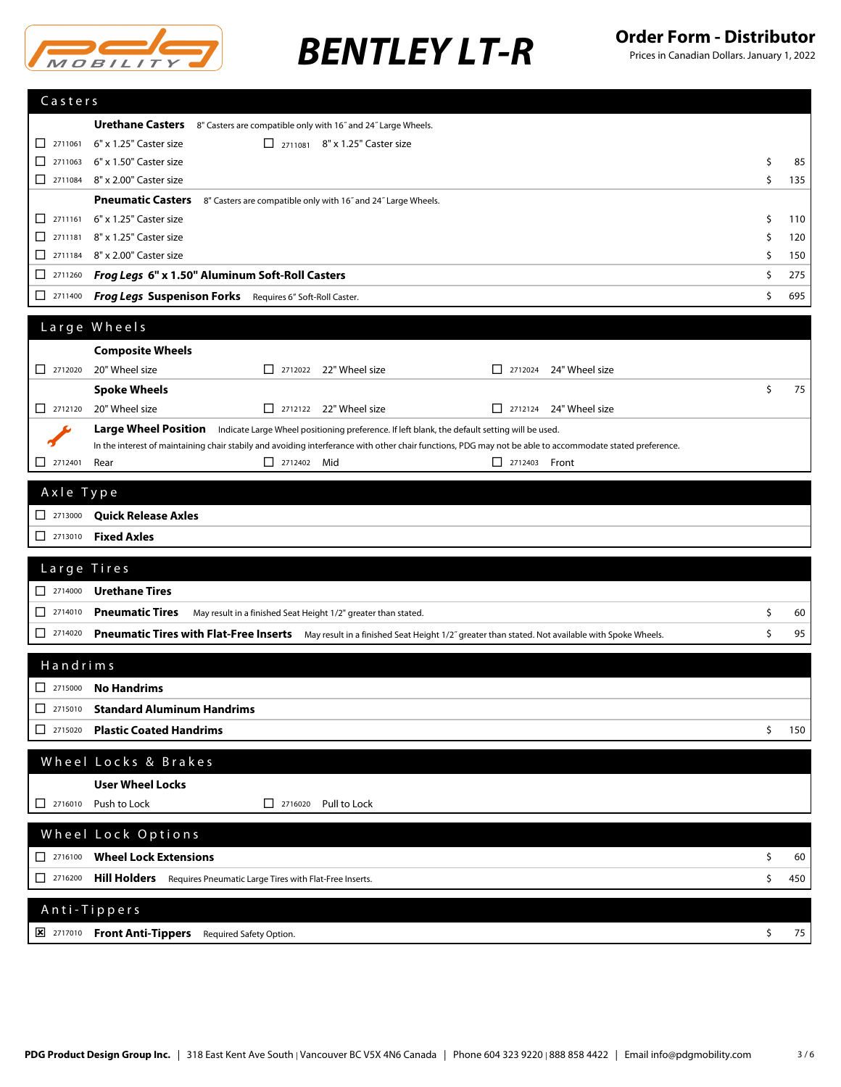

| Casters                                                                     |                                                                                                                                                          |           |
|-----------------------------------------------------------------------------|----------------------------------------------------------------------------------------------------------------------------------------------------------|-----------|
|                                                                             | <b>Urethane Casters</b><br>8" Casters are compatible only with 16" and 24" Large Wheels.                                                                 |           |
| $\begin{array}{ c c c }\n\hline\n2711061\n\end{array}$                      | 6" x 1.25" Caster size<br>$\Box$ 2711081 8" x 1.25" Caster size                                                                                          |           |
| $\begin{array}{ c c }\n\hline\n2711063\n\end{array}$                        | 6" x 1.50" Caster size                                                                                                                                   | \$<br>85  |
| $\begin{array}{ c c }\n\hline\n2711084\n\end{array}$                        | 8" x 2.00" Caster size                                                                                                                                   | \$<br>135 |
|                                                                             | <b>Pneumatic Casters</b><br>8" Casters are compatible only with 16" and 24" Large Wheels.                                                                |           |
| $\boxed{ } 2711161$                                                         | 6" x 1.25" Caster size                                                                                                                                   | \$<br>110 |
| $\Box$ 2711181                                                              | 8" x 1.25" Caster size                                                                                                                                   | \$<br>120 |
|                                                                             | 8" x 2.00" Caster size                                                                                                                                   | \$<br>150 |
| $\begin{array}{ c c c }\n\hline\n2711260\n\end{array}$                      | Frog Legs 6" x 1.50" Aluminum Soft-Roll Casters                                                                                                          | \$<br>275 |
| □<br>2711400                                                                | <b>Frog Legs Suspenison Forks</b><br>Requires 6" Soft-Roll Caster.                                                                                       | \$<br>695 |
|                                                                             |                                                                                                                                                          |           |
|                                                                             | Large Wheels                                                                                                                                             |           |
|                                                                             | <b>Composite Wheels</b>                                                                                                                                  |           |
| $\begin{array}{ c c c c c } \hline \quad 2712020 \end{array}$               | 20" Wheel size<br>$\Box$ 2712022 22" Wheel size<br>24" Wheel size<br>$\sqrt{2712024}$                                                                    |           |
|                                                                             | <b>Spoke Wheels</b>                                                                                                                                      | \$<br>75  |
| $\Box$ 2712120                                                              | 20" Wheel size<br>$\Box$ 2712122 22" Wheel size<br>$\Box$ 2712124 24" Wheel size                                                                         |           |
|                                                                             | <b>Large Wheel Position</b><br>Indicate Large Wheel positioning preference. If left blank, the default setting will be used.                             |           |
|                                                                             | In the interest of maintaining chair stabily and avoiding interferance with other chair functions, PDG may not be able to accommodate stated preference. |           |
| $\Box$ 2712401                                                              | 2712402 Mid<br>7 2712403 Front<br>Rear                                                                                                                   |           |
|                                                                             |                                                                                                                                                          |           |
| Axle Type                                                                   |                                                                                                                                                          |           |
| $\Box$ 2713000                                                              | <b>Quick Release Axles</b>                                                                                                                               |           |
|                                                                             | <b>Fixed Axles</b>                                                                                                                                       |           |
| Large Tires                                                                 |                                                                                                                                                          |           |
|                                                                             |                                                                                                                                                          |           |
|                                                                             | □ 2714000 Urethane Tires                                                                                                                                 |           |
| □<br>2714010                                                                | <b>Pneumatic Tires</b><br>May result in a finished Seat Height 1/2" greater than stated.                                                                 | \$<br>60  |
| $\begin{array}{ c c c }\n\hline\n2714020\n\end{array}$                      | Pneumatic Tires with Flat-Free Inserts May result in a finished Seat Height 1/2" greater than stated. Not available with Spoke Wheels.                   | \$<br>95  |
| Handrims                                                                    |                                                                                                                                                          |           |
|                                                                             |                                                                                                                                                          |           |
|                                                                             | 2715000 No Handrims                                                                                                                                      |           |
| 0.<br>2715010                                                               | <b>Standard Aluminum Handrims</b>                                                                                                                        |           |
| $\begin{array}{ c c c c c c } \hline \quad & 2715020 \\ \hline \end{array}$ | <b>Plastic Coated Handrims</b>                                                                                                                           | \$<br>150 |
|                                                                             | Wheel Locks & Brakes                                                                                                                                     |           |
|                                                                             |                                                                                                                                                          |           |
|                                                                             | <b>User Wheel Locks</b>                                                                                                                                  |           |
| $\boxed{\phantom{000}}$ 2716010                                             | Push to Lock<br>$\Box$ 2716020<br>Pull to Lock                                                                                                           |           |
|                                                                             | Wheel Lock Options                                                                                                                                       |           |
|                                                                             |                                                                                                                                                          |           |
| $\begin{array}{ c c c c c c } \hline \quad & 2716100 \\ \hline \end{array}$ | <b>Wheel Lock Extensions</b>                                                                                                                             | \$<br>60  |
| $\boxed{\phantom{000}}$ 2716200                                             | Hill Holders Requires Pneumatic Large Tires with Flat-Free Inserts.                                                                                      | \$<br>450 |
|                                                                             | Anti-Tippers                                                                                                                                             |           |
|                                                                             |                                                                                                                                                          |           |
|                                                                             | 2717010 Front Anti-Tippers Required Safety Option.                                                                                                       | \$<br>75  |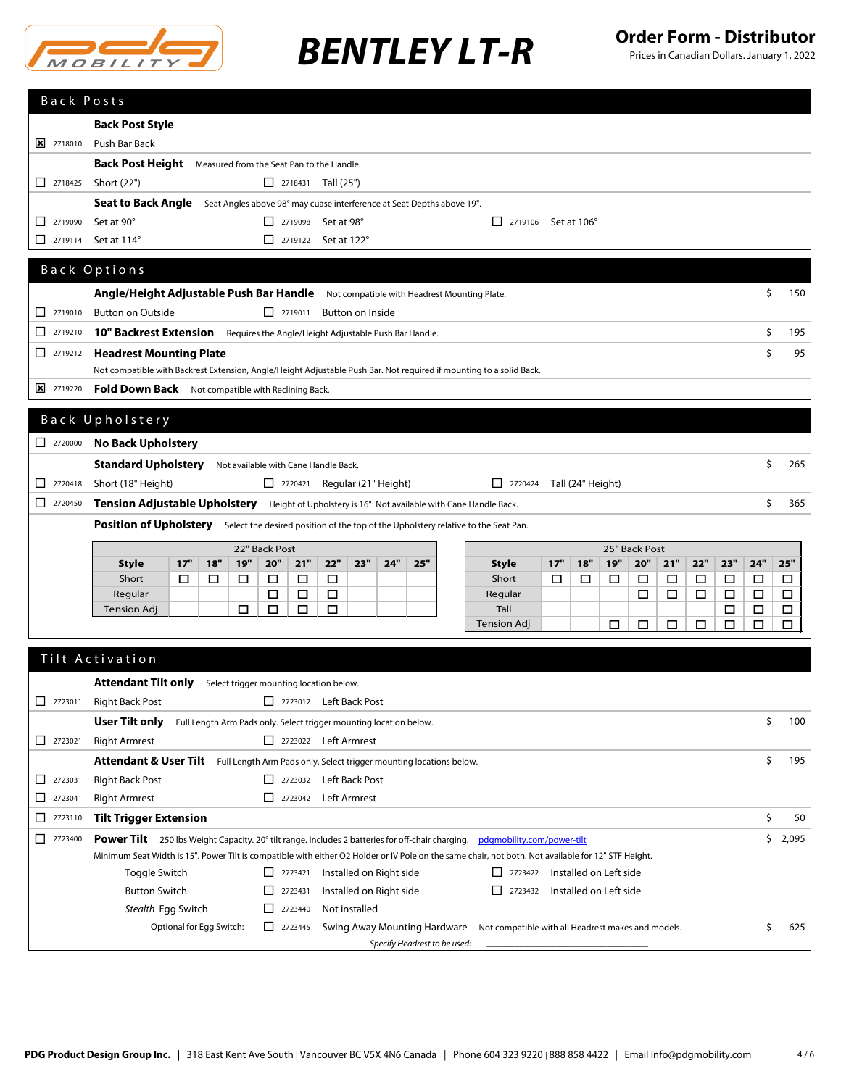

| Back Posts                                                                |                                                                                                                     |     |     |     |               |                                                                             |                                                                    |     |     |     |  |                                 |     |                   |     |               |     |     |        |                  |        |
|---------------------------------------------------------------------------|---------------------------------------------------------------------------------------------------------------------|-----|-----|-----|---------------|-----------------------------------------------------------------------------|--------------------------------------------------------------------|-----|-----|-----|--|---------------------------------|-----|-------------------|-----|---------------|-----|-----|--------|------------------|--------|
|                                                                           | <b>Back Post Style</b>                                                                                              |     |     |     |               |                                                                             |                                                                    |     |     |     |  |                                 |     |                   |     |               |     |     |        |                  |        |
| $\boxed{\mathsf{x}}$ 2718010                                              | Push Bar Back                                                                                                       |     |     |     |               |                                                                             |                                                                    |     |     |     |  |                                 |     |                   |     |               |     |     |        |                  |        |
|                                                                           | <b>Back Post Height</b><br>Measured from the Seat Pan to the Handle.                                                |     |     |     |               |                                                                             |                                                                    |     |     |     |  |                                 |     |                   |     |               |     |     |        |                  |        |
| $\begin{array}{ c c c c c } \hline \quad & 2718425 \\ \hline \end{array}$ | Short (22")                                                                                                         |     |     |     |               |                                                                             | $\Box$ 2718431 Tall (25")                                          |     |     |     |  |                                 |     |                   |     |               |     |     |        |                  |        |
|                                                                           | Seat to Back Angle Seat Angles above 98° may cuase interference at Seat Depths above 19".                           |     |     |     |               |                                                                             |                                                                    |     |     |     |  |                                 |     |                   |     |               |     |     |        |                  |        |
| $\begin{array}{ c c }\n\hline\n2719090\n\end{array}$                      | Set at 90°                                                                                                          |     |     |     |               |                                                                             | $\Box$ 2719098 Set at 98°                                          |     |     |     |  | $\Box$ 2719106 Set at 106°      |     |                   |     |               |     |     |        |                  |        |
| $\boxed{\phantom{000}}$ 2719114                                           | Set at 114°                                                                                                         |     |     |     |               |                                                                             | □ 2719122 Set at 122°                                              |     |     |     |  |                                 |     |                   |     |               |     |     |        |                  |        |
|                                                                           | Back Options                                                                                                        |     |     |     |               |                                                                             |                                                                    |     |     |     |  |                                 |     |                   |     |               |     |     |        |                  |        |
|                                                                           |                                                                                                                     |     |     |     |               |                                                                             |                                                                    |     |     |     |  |                                 |     |                   |     |               |     |     |        |                  |        |
|                                                                           | Angle/Height Adjustable Push Bar Handle Not compatible with Headrest Mounting Plate.                                |     |     |     |               |                                                                             |                                                                    |     |     |     |  |                                 |     |                   |     |               |     |     |        | Ŝ.               | 150    |
| $\begin{array}{ c c c c c } \hline \quad 2719010 \end{array}$             | <b>Button on Outside</b>                                                                                            |     |     |     |               | $\begin{array}{ c c c c c c } \hline \quad & 2719011 \\ \hline \end{array}$ | Button on Inside                                                   |     |     |     |  |                                 |     |                   |     |               |     |     |        |                  |        |
| $\Box$ 2719210                                                            | 10" Backrest Extension Requires the Angle/Height Adjustable Push Bar Handle.                                        |     |     |     |               |                                                                             |                                                                    |     |     |     |  |                                 |     |                   |     |               |     |     |        | \$               | 195    |
| $\Box$ 2719212                                                            | <b>Headrest Mounting Plate</b>                                                                                      |     |     |     |               |                                                                             |                                                                    |     |     |     |  |                                 |     |                   |     |               |     |     |        | \$               | 95     |
| 2719220                                                                   | Not compatible with Backrest Extension, Angle/Height Adjustable Push Bar. Not required if mounting to a solid Back. |     |     |     |               |                                                                             |                                                                    |     |     |     |  |                                 |     |                   |     |               |     |     |        |                  |        |
|                                                                           | <b>Fold Down Back</b> Not compatible with Reclining Back.                                                           |     |     |     |               |                                                                             |                                                                    |     |     |     |  |                                 |     |                   |     |               |     |     |        |                  |        |
|                                                                           | Back Upholstery                                                                                                     |     |     |     |               |                                                                             |                                                                    |     |     |     |  |                                 |     |                   |     |               |     |     |        |                  |        |
| $\boxed{\phantom{1}}$ 2720000                                             | <b>No Back Upholstery</b>                                                                                           |     |     |     |               |                                                                             |                                                                    |     |     |     |  |                                 |     |                   |     |               |     |     |        |                  |        |
|                                                                           | <b>Standard Upholstery</b>                                                                                          |     |     |     |               |                                                                             | Not available with Cane Handle Back.                               |     |     |     |  |                                 |     |                   |     |               |     |     |        | \$               | 265    |
| $\begin{array}{ c c }\n\hline\n2720418\n\end{array}$                      | Short (18" Height)                                                                                                  |     |     |     |               |                                                                             | $\Box$ 2720421 Regular (21" Height)                                |     |     |     |  | $\boxed{\phantom{000}}$ 2720424 |     | Tall (24" Height) |     |               |     |     |        |                  |        |
| $\begin{array}{ c c }\n\hline\n\end{array}$ 2720450                       | <b>Tension Adjustable Upholstery</b> Height of Upholstery is 16". Not available with Cane Handle Back.              |     |     |     |               |                                                                             |                                                                    |     |     |     |  |                                 |     |                   |     |               |     |     |        | Ś.               | 365    |
|                                                                           | <b>Position of Upholstery</b> Select the desired position of the top of the Upholstery relative to the Seat Pan.    |     |     |     |               |                                                                             |                                                                    |     |     |     |  |                                 |     |                   |     |               |     |     |        |                  |        |
|                                                                           |                                                                                                                     |     |     |     | 22" Back Post |                                                                             |                                                                    |     |     |     |  |                                 |     |                   |     | 25" Back Post |     |     |        |                  |        |
|                                                                           | <b>Style</b>                                                                                                        | 17" | 18" | 19" | 20"           | 21"                                                                         | 22"                                                                | 23" | 24" | 25" |  | <b>Style</b>                    | 17" | 18"               | 19" | 20"           | 21" | 22" | 23"    | 24"              | 25"    |
|                                                                           | Short                                                                                                               | □   | □   | □   | □             | □                                                                           | □                                                                  |     |     |     |  | Short                           | □   | □                 | □   | □             | □   | □   | □      | □                | □      |
|                                                                           | Regular<br><b>Tension Adj</b>                                                                                       |     |     | □   | □<br>□        | □<br>□                                                                      | □<br>□                                                             |     |     |     |  | Regular<br>Tall                 |     |                   |     | □             | □   | □   | □<br>□ | $\Box$<br>$\Box$ | □<br>□ |
|                                                                           |                                                                                                                     |     |     |     |               |                                                                             |                                                                    |     |     |     |  | <b>Tension Adj</b>              |     |                   | □   | □             | П   | □   | п      | □                | □      |
|                                                                           |                                                                                                                     |     |     |     |               |                                                                             |                                                                    |     |     |     |  |                                 |     |                   |     |               |     |     |        |                  |        |
|                                                                           | Tilt Activation                                                                                                     |     |     |     |               |                                                                             |                                                                    |     |     |     |  |                                 |     |                   |     |               |     |     |        |                  |        |
|                                                                           | <b>Attendant Tilt only</b>                                                                                          |     |     |     |               |                                                                             | Select trigger mounting location below.                            |     |     |     |  |                                 |     |                   |     |               |     |     |        |                  |        |
| $\Box$ 2723011                                                            | <b>Right Back Post</b>                                                                                              |     |     |     |               |                                                                             | 2723012 Left Back Post                                             |     |     |     |  |                                 |     |                   |     |               |     |     |        |                  |        |
|                                                                           | User Tilt only                                                                                                      |     |     |     |               |                                                                             | Full Length Arm Pads only. Select trigger mounting location below. |     |     |     |  |                                 |     |                   |     |               |     |     |        | \$               | 100    |
| $\begin{array}{ c c c }\n\hline\n2723021\n\end{array}$                    | <b>Right Armrest</b>                                                                                                |     |     |     |               |                                                                             | 2723022 Left Armrest                                               |     |     |     |  |                                 |     |                   |     |               |     |     |        |                  |        |
|                                                                           |                                                                                                                     |     |     |     |               |                                                                             |                                                                    |     |     |     |  |                                 |     |                   |     |               |     |     |        |                  |        |

|                                                      | <b>Attendant &amp; User Tilt</b> |                  | Full Length Arm Pads only. Select trigger mounting locations below.                                                                                 | 195     |
|------------------------------------------------------|----------------------------------|------------------|-----------------------------------------------------------------------------------------------------------------------------------------------------|---------|
| $\begin{array}{ c c }\n\hline\n2723031\n\end{array}$ | <b>Right Back Post</b>           | 2723032          | Left Back Post                                                                                                                                      |         |
| $\Box$ 2723041                                       | <b>Right Armrest</b>             | $\Box$ 2723042   | Left Armrest                                                                                                                                        |         |
| $\Box$ 2723110                                       | <b>Tilt Trigger Extension</b>    |                  |                                                                                                                                                     | 50      |
| $\Box$ 2723400                                       |                                  |                  | <b>Power Tilt</b> 250 lbs Weight Capacity. 20° tilt range. Includes 2 batteries for off-chair charging. pdgmobility.com/power-tilt                  | \$2,095 |
|                                                      |                                  |                  | Minimum Seat Width is 15". Power Tilt is compatible with either O2 Holder or IV Pole on the same chair, not both. Not available for 12" STF Height. |         |
|                                                      | Toggle Switch                    | $\Box$ 2723421   | Installed on Right side<br>Installed on Left side<br>2723422                                                                                        |         |
|                                                      | <b>Button Switch</b>             | $\Box$ 2723431   | Installed on Left side<br>Installed on Right side<br>$\Box$ 2723432                                                                                 |         |
|                                                      | Stealth Egg Switch               | $1 \mid 2723440$ | Not installed                                                                                                                                       |         |
|                                                      | Optional for Eqq Switch:         | 12723445         | Swing Away Mounting Hardware<br>Not compatible with all Headrest makes and models.<br>Specify Headrest to be used:                                  | 625     |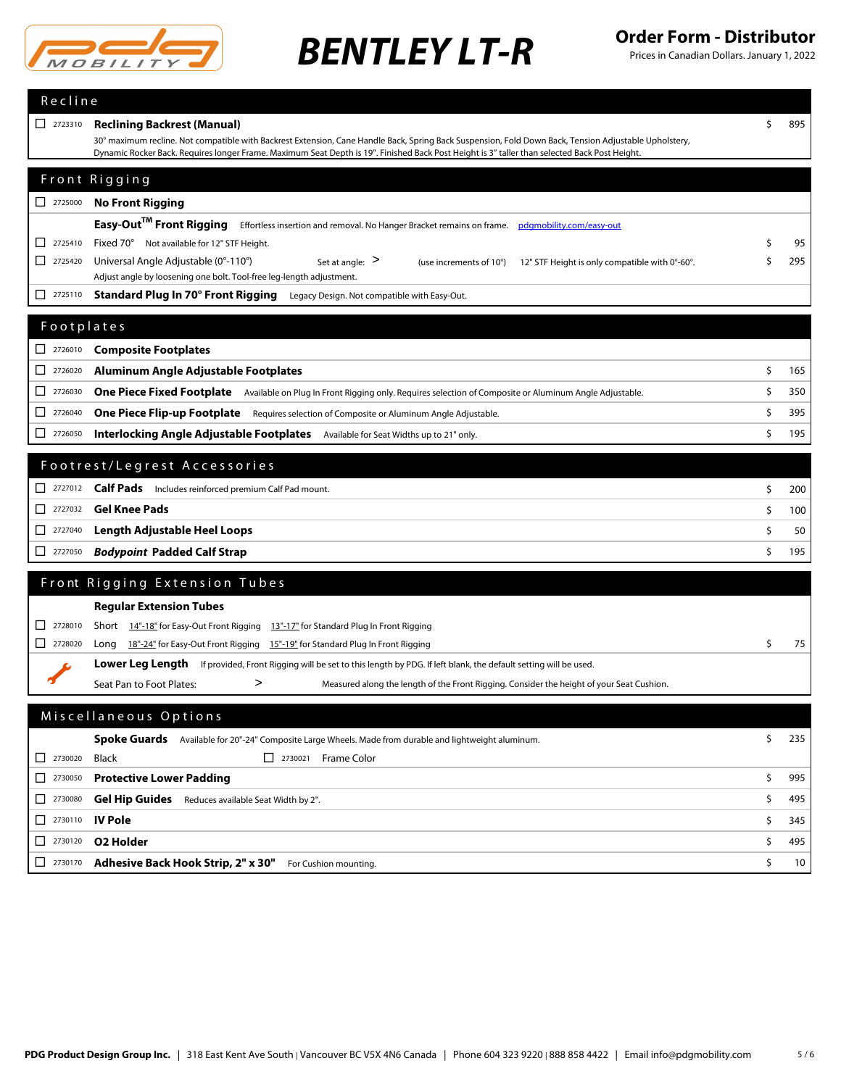

| Recline                                                |                                                                                                                                                                |          |           |  |  |  |  |
|--------------------------------------------------------|----------------------------------------------------------------------------------------------------------------------------------------------------------------|----------|-----------|--|--|--|--|
| $\Box$ 2723310                                         | <b>Reclining Backrest (Manual)</b>                                                                                                                             | \$       | 895       |  |  |  |  |
|                                                        | 30° maximum recline. Not compatible with Backrest Extension, Cane Handle Back, Spring Back Suspension, Fold Down Back, Tension Adjustable Upholstery,          |          |           |  |  |  |  |
|                                                        | Dynamic Rocker Back. Requires longer Frame. Maximum Seat Depth is 19". Finished Back Post Height is 3" taller than selected Back Post Height.                  |          |           |  |  |  |  |
|                                                        | Front Rigging                                                                                                                                                  |          |           |  |  |  |  |
| $\begin{array}{ c c c }\n\hline\n2725000\n\end{array}$ | <b>No Front Rigging</b>                                                                                                                                        |          |           |  |  |  |  |
|                                                        | Easy-Out™ Front Rigging<br>Effortless insertion and removal. No Hanger Bracket remains on frame. pdgmobility.com/easy-out                                      |          |           |  |  |  |  |
| $\Box$ 2725410                                         | Fixed 70° Not available for 12" STF Height.                                                                                                                    |          | 95        |  |  |  |  |
| $\Box$ 2725420                                         | Universal Angle Adjustable (0°-110°)<br>Set at angle: $>$<br>(use increments of 10°)<br>12" STF Height is only compatible with 0°-60°.                         | Ś        | 295       |  |  |  |  |
| $\boxed{\phantom{0}}$ 2725110                          | Adjust angle by loosening one bolt. Tool-free leg-length adjustment.<br><b>Standard Plug In 70° Front Rigging</b> Legacy Design. Not compatible with Easy-Out. |          |           |  |  |  |  |
|                                                        |                                                                                                                                                                |          |           |  |  |  |  |
| Footplates                                             |                                                                                                                                                                |          |           |  |  |  |  |
| $\Box$ 2726010                                         | <b>Composite Footplates</b>                                                                                                                                    |          |           |  |  |  |  |
| 2726020<br>ப                                           | Aluminum Angle Adjustable Footplates                                                                                                                           | \$       | 165       |  |  |  |  |
| □<br>2726030                                           | One Piece Fixed Footplate Available on Plug In Front Rigging only. Requires selection of Composite or Aluminum Angle Adjustable.                               | \$       | 350       |  |  |  |  |
| 2726040<br>□                                           | One Piece Flip-up Footplate Requires selection of Composite or Aluminum Angle Adjustable.                                                                      | \$       | 395       |  |  |  |  |
| 2726050<br>□                                           | <b>Interlocking Angle Adjustable Footplates</b> Available for Seat Widths up to 21" only.                                                                      | \$       | 195       |  |  |  |  |
|                                                        |                                                                                                                                                                |          |           |  |  |  |  |
|                                                        | Footrest/Legrest Accessories                                                                                                                                   |          |           |  |  |  |  |
|                                                        | <b>Calf Pads</b> Includes reinforced premium Calf Pad mount.                                                                                                   | \$       | 200       |  |  |  |  |
|                                                        | <b>Gel Knee Pads</b>                                                                                                                                           | \$<br>\$ | 100<br>50 |  |  |  |  |
| □<br>2727040                                           | Length Adjustable Heel Loops                                                                                                                                   |          |           |  |  |  |  |
| ப<br>2727050                                           | <b>Bodypoint Padded Calf Strap</b>                                                                                                                             | Ś        | 195       |  |  |  |  |
|                                                        | Front Rigging Extension Tubes                                                                                                                                  |          |           |  |  |  |  |
|                                                        | <b>Regular Extension Tubes</b>                                                                                                                                 |          |           |  |  |  |  |
| 2728010                                                | Short 14"-18" for Easy-Out Front Rigging 13"-17" for Standard Plug In Front Rigging                                                                            |          |           |  |  |  |  |
| 2728020<br>$\mathsf{L}$                                | Long 18"-24" for Easy-Out Front Rigging 15"-19" for Standard Plug In Front Rigging                                                                             | \$       | 75        |  |  |  |  |
|                                                        | Lower Leg Length If provided, Front Rigging will be set to this length by PDG. If left blank, the default setting will be used.                                |          |           |  |  |  |  |
|                                                        | Seat Pan to Foot Plates:<br>><br>Measured along the length of the Front Rigging. Consider the height of your Seat Cushion.                                     |          |           |  |  |  |  |
|                                                        | Miscellaneous Options                                                                                                                                          |          |           |  |  |  |  |
|                                                        |                                                                                                                                                                |          |           |  |  |  |  |
| $\begin{array}{ c c c }\n\hline\n2730020\n\end{array}$ | Spoke Guards Available for 20"-24" Composite Large Wheels. Made from durable and lightweight aluminum.                                                         | \$       | 235       |  |  |  |  |
| 2730050<br>⊔                                           | Black<br>2730021 Frame Color<br><b>Protective Lower Padding</b>                                                                                                | \$       | 995       |  |  |  |  |
| 2730080<br>0.                                          | <b>Gel Hip Guides</b> Reduces available Seat Width by 2".                                                                                                      | \$       | 495       |  |  |  |  |
| 2730110                                                |                                                                                                                                                                |          |           |  |  |  |  |
| □<br>2730120                                           | <b>IV Pole</b>                                                                                                                                                 | \$       | 345       |  |  |  |  |
| ⊔                                                      | <b>O2 Holder</b>                                                                                                                                               | \$       | 495       |  |  |  |  |
| $\boxed{\phantom{000}}$ 2730170                        | Adhesive Back Hook Strip, 2" x 30"<br>For Cushion mounting.                                                                                                    | \$       | 10        |  |  |  |  |